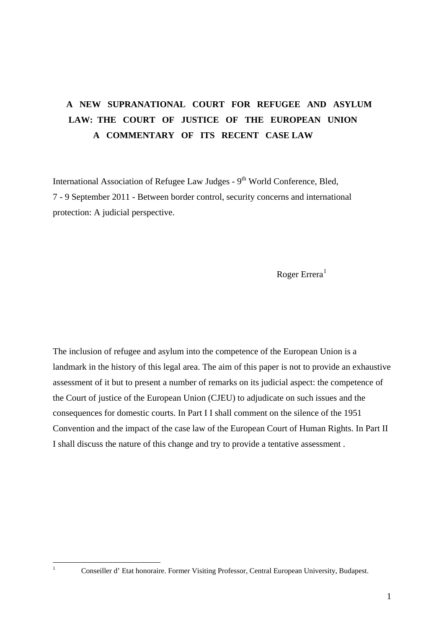# **A NEW SUPRANATIONAL COURT FOR REFUGEE AND ASYLUM LAW: THE COURT OF JUSTICE OF THE EUROPEAN UNION A COMMENTARY OF ITS RECENT CASE LAW**

International Association of Refugee Law Judges -  $9<sup>th</sup>$  World Conference, Bled, 7 - 9 September 2011 - Between border control, security concerns and international protection: A judicial perspective.

Roger Errera $<sup>1</sup>$  $<sup>1</sup>$  $<sup>1</sup>$ </sup>

The inclusion of refugee and asylum into the competence of the European Union is a landmark in the history of this legal area. The aim of this paper is not to provide an exhaustive assessment of it but to present a number of remarks on its judicial aspect: the competence of the Court of justice of the European Union (CJEU) to adjudicate on such issues and the consequences for domestic courts. In Part I I shall comment on the silence of the 1951 Convention and the impact of the case law of the European Court of Human Rights. In Part II I shall discuss the nature of this change and try to provide a tentative assessment .

<span id="page-0-0"></span><sup>1</sup> 1

Conseiller d' Etat honoraire. Former Visiting Professor, Central European University, Budapest.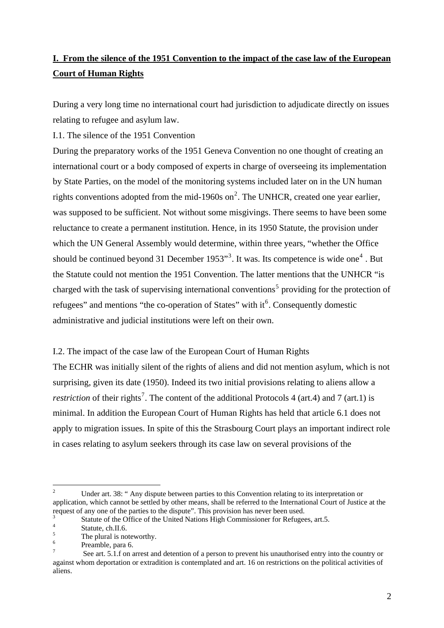## **I. From the silence of the 1951 Convention to the impact of the case law of the European Court of Human Rights**

During a very long time no international court had jurisdiction to adjudicate directly on issues relating to refugee and asylum law.

I.1. The silence of the 1951 Convention

During the preparatory works of the 1951 Geneva Convention no one thought of creating an international court or a body composed of experts in charge of overseeing its implementation by State Parties, on the model of the monitoring systems included later on in the UN human rights conventions adopted from the mid-1960s on<sup>[2](#page-1-0)</sup>. The UNHCR, created one year earlier, was supposed to be sufficient. Not without some misgivings. There seems to have been some reluctance to create a permanent institution. Hence, in its 1950 Statute, the provision under which the UN General Assembly would determine, within three years, "whether the Office should be continued beyond [3](#page-1-1)1 December 1953<sup> $\cdot$ 3</sup>. It was. Its competence is wide one<sup>[4](#page-1-2)</sup>. But the Statute could not mention the 1951 Convention. The latter mentions that the UNHCR "is charged with the task of supervising international conventions<sup>[5](#page-1-3)</sup> providing for the protection of refugees" and mentions "the co-operation of States" with  $it<sup>6</sup>$  $it<sup>6</sup>$  $it<sup>6</sup>$ . Consequently domestic administrative and judicial institutions were left on their own.

I.2. The impact of the case law of the European Court of Human Rights The ECHR was initially silent of the rights of aliens and did not mention asylum, which is not surprising, given its date (1950). Indeed its two initial provisions relating to aliens allow a *restriction* of their rights<sup>[7](#page-1-5)</sup>. The content of the additional Protocols 4 (art.4) and 7 (art.1) is minimal. In addition the European Court of Human Rights has held that article 6.1 does not apply to migration issues. In spite of this the Strasbourg Court plays an important indirect role in cases relating to asylum seekers through its case law on several provisions of the

<span id="page-1-0"></span> $\frac{1}{2}$  Under art. 38: " Any dispute between parties to this Convention relating to its interpretation or application, which cannot be settled by other means, shall be referred to the International Court of Justice at the request of any one of the parties to the dispute". This provision has never been used. 3

<span id="page-1-1"></span>Statute of the Office of the United Nations High Commissioner for Refugees, art.5.

Statute, ch.II.6.

<span id="page-1-3"></span><span id="page-1-2"></span><sup>5</sup> The plural is noteworthy.

<span id="page-1-4"></span><sup>6</sup> Preamble, para 6.

<span id="page-1-5"></span><sup>7</sup> See art. 5.1.f on arrest and detention of a person to prevent his unauthorised entry into the country or against whom deportation or extradition is contemplated and art. 16 on restrictions on the political activities of aliens.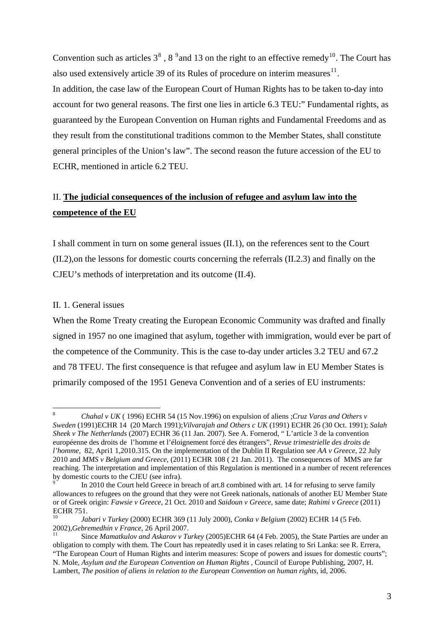Convention such as articles  $3^8$  $3^8$ ,  $8^9$  $8^9$  and 13 on the right to an effective remedy<sup>[10](#page-2-2)</sup>. The Court has also used extensively article 39 of its Rules of procedure on interim measures $^{11}$  $^{11}$  $^{11}$ . In addition, the case law of the European Court of Human Rights has to be taken to-day into account for two general reasons. The first one lies in article 6.3 TEU:" Fundamental rights, as guaranteed by the European Convention on Human rights and Fundamental Freedoms and as they result from the constitutional traditions common to the Member States, shall constitute general principles of the Union's law". The second reason the future accession of the EU to ECHR, mentioned in article 6.2 TEU.

### II. **The judicial consequences of the inclusion of refugee and asylum law into the competence of the EU**

I shall comment in turn on some general issues (II.1), on the references sent to the Court (II.2),on the lessons for domestic courts concerning the referrals (II.2.3) and finally on the CJEU's methods of interpretation and its outcome (II.4).

#### II. 1. General issues

1

When the Rome Treaty creating the European Economic Community was drafted and finally signed in 1957 no one imagined that asylum, together with immigration, would ever be part of the competence of the Community. This is the case to-day under articles 3.2 TEU and 67.2 and 78 TFEU. The first consequence is that refugee and asylum law in EU Member States is primarily composed of the 1951 Geneva Convention and of a series of EU instruments:

<span id="page-2-0"></span><sup>8</sup> *Chahal v UK* ( 1996) ECHR 54 (15 Nov.1996) on expulsion of aliens ;*Cruz Varas and Others v Sweden* (1991)ECHR 14 (20 March 1991);*Vilvarajah and Others c UK* (1991) ECHR 26 (30 Oct. 1991); *Salah Sheek v The Netherlands* (2007) ECHR 36 (11 Jan. 2007). See A. Fornerod, " L'article 3 de la convention européenne des droits de l'homme et l'éloignement forcé des étrangers", *Revue trimestrielle des droits de l'homme*, 82, Apri1 1,2010.315. On the implementation of the Dublin II Regulation see *AA v Greece*, 22 July 2010 and *MMS v Belgium and Greece*, (2011) ECHR 108 ( 21 Jan. 2011). The consequences of MMS are far reaching. The interpretation and implementation of this Regulation is mentioned in a number of recent references by domestic courts to the CJEU (see infra).

<span id="page-2-1"></span><sup>9</sup> In 2010 the Court held Greece in breach of art.8 combined with art. 14 for refusing to serve family allowances to refugees on the ground that they were not Greek nationals, nationals of another EU Member State or of Greek origin: *Fawsie v Greece*, 21 Oct. 2010 and *Saidoun v Greece,* same date; *Rahimi v Greece* (2011) ECHR 751.

<span id="page-2-2"></span><sup>10</sup> *Jabari v Turkey* (2000) ECHR 369 (11 July 2000), *Conka v Belgium* (2002) ECHR 14 (5 Feb. 2002),*Gebremedhin v France*, 26 April 2007.<br><sup>11</sup> Since *Mamatkulov and Askarov v Turkey* (2005)ECHR 64 (4 Feb. 2005), the State Parties are under an

<span id="page-2-3"></span>obligation to comply with them. The Court has repeatedly used it in cases relating to Sri Lanka: see R. Errera, "The European Court of Human Rights and interim measures: Scope of powers and issues for domestic courts"; N. Mole, *Asylum and the European Convention on Human Rights* , Council of Europe Publishing, 2007, H. Lambert, *The position of aliens in relation to the European Convention on human rights*, id, 2006.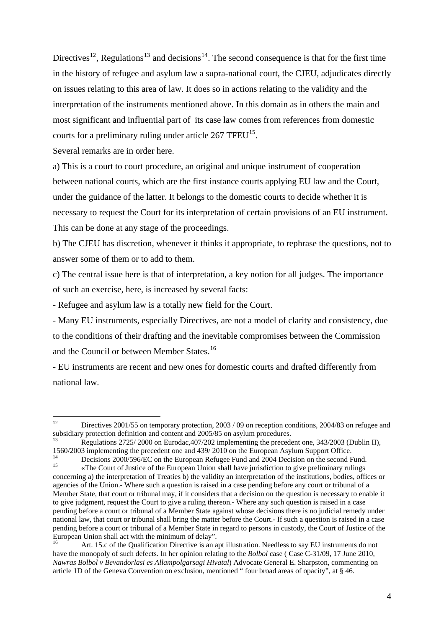Directives<sup>[12](#page-3-0)</sup>, Regulations<sup>[13](#page-3-1)</sup> and decisions<sup>[14](#page-3-2)</sup>. The second consequence is that for the first time in the history of refugee and asylum law a supra-national court, the CJEU, adjudicates directly on issues relating to this area of law. It does so in actions relating to the validity and the interpretation of the instruments mentioned above. In this domain as in others the main and most significant and influential part of its case law comes from references from domestic courts for a preliminary ruling under article  $267$  TFEU<sup>[15](#page-3-3)</sup>.

Several remarks are in order here.

a) This is a court to court procedure, an original and unique instrument of cooperation between national courts, which are the first instance courts applying EU law and the Court, under the guidance of the latter. It belongs to the domestic courts to decide whether it is necessary to request the Court for its interpretation of certain provisions of an EU instrument. This can be done at any stage of the proceedings.

b) The CJEU has discretion, whenever it thinks it appropriate, to rephrase the questions, not to answer some of them or to add to them.

c) The central issue here is that of interpretation, a key notion for all judges. The importance of such an exercise, here, is increased by several facts:

- Refugee and asylum law is a totally new field for the Court.

- Many EU instruments, especially Directives, are not a model of clarity and consistency, due to the conditions of their drafting and the inevitable compromises between the Commission and the Council or between Member States.<sup>[16](#page-3-4)</sup>

- EU instruments are recent and new ones for domestic courts and drafted differently from national law.

<span id="page-3-0"></span> $12<sup>12</sup>$ Directives 2001/55 on temporary protection, 2003 / 09 on reception conditions, 2004/83 on refugee and subsidiary protection definition and content and 2005/85 on asylum procedures.

<span id="page-3-1"></span>Regulations 2725/ 2000 on Eurodac, 407/202 implementing the precedent one, 343/2003 (Dublin II), 1560/2003 implementing the precedent one and 439/ 2010 on the European Asylum Support Office.

<span id="page-3-2"></span><sup>&</sup>lt;sup>14</sup> Decisions 2000/596/EC on the European Refugee Fund and 2004 Decision on the second Fund.<br><sup>15</sup> 15 «The Court of Justice of the European Union shall have jurisdiction to give preliminary rulings

<span id="page-3-3"></span>concerning a) the interpretation of Treaties b) the validity an interpretation of the institutions, bodies, offices or agencies of the Union.- Where such a question is raised in a case pending before any court or tribunal of a Member State, that court or tribunal may, if it considers that a decision on the question is necessary to enable it to give judgment, request the Court to give a ruling thereon.- Where any such question is raised in a case pending before a court or tribunal of a Member State against whose decisions there is no judicial remedy under national law, that court or tribunal shall bring the matter before the Court.- If such a question is raised in a case pending before a court or tribunal of a Member State in regard to persons in custody, the Court of Justice of the European Union shall act with the minimum of delay".

<span id="page-3-4"></span><sup>16</sup> Art. 15.c of the Qualification Directive is an apt illustration. Needless to say EU instruments do not have the monopoly of such defects. In her opinion relating to the *Bolbol* case ( Case C-31/09, 17 June 2010, *Nawras Bolbol v Bevandorlasi es Allampolgarsagi Hivatal*) Advocate General E. Sharpston, commenting on article 1D of the Geneva Convention on exclusion, mentioned " four broad areas of opacity", at § 46.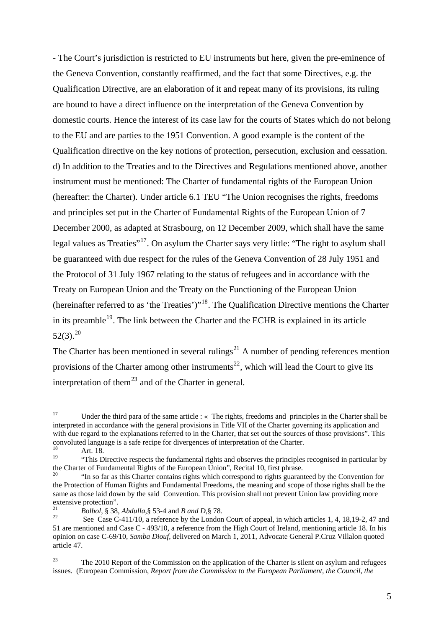- The Court's jurisdiction is restricted to EU instruments but here, given the pre-eminence of the Geneva Convention, constantly reaffirmed, and the fact that some Directives, e.g. the Qualification Directive, are an elaboration of it and repeat many of its provisions, its ruling are bound to have a direct influence on the interpretation of the Geneva Convention by domestic courts. Hence the interest of its case law for the courts of States which do not belong to the EU and are parties to the 1951 Convention. A good example is the content of the Qualification directive on the key notions of protection, persecution, exclusion and cessation. d) In addition to the Treaties and to the Directives and Regulations mentioned above, another instrument must be mentioned: The Charter of fundamental rights of the European Union (hereafter: the Charter). Under article 6.1 TEU "The Union recognises the rights, freedoms and principles set put in the Charter of Fundamental Rights of the European Union of 7 December 2000, as adapted at Strasbourg, on 12 December 2009, which shall have the same legal values as Treaties"<sup>[17](#page-4-0)</sup>. On asylum the Charter says very little: "The right to asylum shall be guaranteed with due respect for the rules of the Geneva Convention of 28 July 1951 and the Protocol of 31 July 1967 relating to the status of refugees and in accordance with the Treaty on European Union and the Treaty on the Functioning of the European Union (hereinafter referred to as 'the Treaties')"[18](#page-4-1). The Qualification Directive mentions the Charter in its preamble<sup>[19](#page-4-2)</sup>. The link between the Charter and the ECHR is explained in its article  $52(3).^{20}$  $52(3).^{20}$  $52(3).^{20}$ 

The Charter has been mentioned in several rulings<sup>[21](#page-4-4)</sup> A number of pending references mention provisions of the Charter among other instruments<sup>[22](#page-4-5)</sup>, which will lead the Court to give its interpretation of them<sup>[23](#page-4-6)</sup> and of the Charter in general.

<span id="page-4-0"></span> $17$ Under the third para of the same article : « The rights, freedoms and principles in the Charter shall be interpreted in accordance with the general provisions in Title VII of the Charter governing its application and with due regard to the explanations referred to in the Charter, that set out the sources of those provisions". This convoluted language is a safe recipe for divergences of interpretation of the Charter.<br>
<sup>18</sup> Art. 18.<br>
<sup>19</sup> Art. Directive generate the fundamental rights and charges the grippinals

<span id="page-4-2"></span><span id="page-4-1"></span><sup>19 &</sup>quot;This Directive respects the fundamental rights and observes the principles recognised in particular by the Charter of Fundamental Rights of the European Union", Recital 10, first phrase.

<span id="page-4-3"></span><sup>&</sup>quot;In so far as this Charter contains rights which correspond to rights guaranteed by the Convention for the Protection of Human Rights and Fundamental Freedoms, the meaning and scope of those rights shall be the same as those laid down by the said Convention. This provision shall not prevent Union law providing more extensive protection".<br>  $^{21}$  Bolbol. § 38. Abdulla § 53-4 and B and D § 78.

<span id="page-4-4"></span>

<span id="page-4-5"></span><sup>&</sup>lt;sup>22</sup> See Case C-411/10, a reference by the London Court of appeal, in which articles 1, 4, 18,19-2, 47 and 51 are mentioned and Case C - 493/10, a reference from the High Court of Ireland, mentioning article 18. In his opinion on case C-69/10, *Samba Diouf*, delivered on March 1, 2011, Advocate General P.Cruz Villalon quoted article 47.

<span id="page-4-6"></span><sup>&</sup>lt;sup>23</sup> The 2010 Report of the Commission on the application of the Charter is silent on asylum and refugees issues. (European Commission, *Report from the Commission to the European Parliament, the Council, the*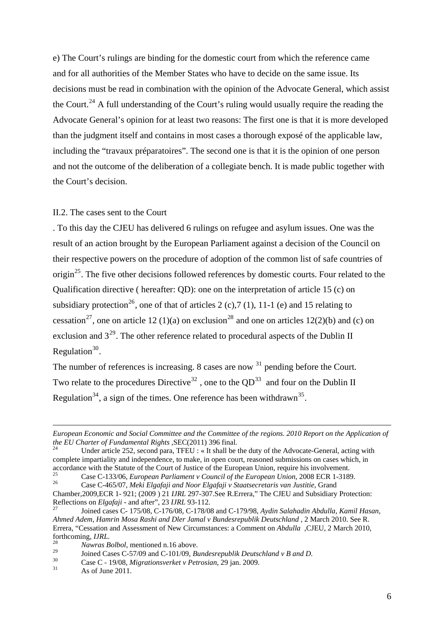e) The Court's rulings are binding for the domestic court from which the reference came and for all authorities of the Member States who have to decide on the same issue. Its decisions must be read in combination with the opinion of the Advocate General, which assist the Court.<sup>[24](#page-5-0)</sup> A full understanding of the Court's ruling would usually require the reading the Advocate General's opinion for at least two reasons: The first one is that it is more developed than the judgment itself and contains in most cases a thorough exposé of the applicable law, including the "travaux préparatoires". The second one is that it is the opinion of one person and not the outcome of the deliberation of a collegiate bench. It is made public together with the Court's decision.

#### II.2. The cases sent to the Court

. To this day the CJEU has delivered 6 rulings on refugee and asylum issues. One was the result of an action brought by the European Parliament against a decision of the Council on their respective powers on the procedure of adoption of the common list of safe countries of origin<sup>[25](#page-5-1)</sup>. The five other decisions followed references by domestic courts. Four related to the Qualification directive ( hereafter: QD): one on the interpretation of article 15 (c) on subsidiary protection<sup>[26](#page-5-2)</sup>, one of that of articles 2 (c), 7 (1), 11-1 (e) and 15 relating to cessation<sup>[27](#page-5-3)</sup>, one on article 12 (1)(a) on exclusion<sup>[28](#page-5-4)</sup> and one on articles 12(2)(b) and (c) on exclusion and  $3^{29}$  $3^{29}$  $3^{29}$ . The other reference related to procedural aspects of the Dublin II Regulation $30$ .

The number of references is increasing. 8 cases are now  $31$  pending before the Court. Two relate to the procedures Directive<sup>[32](#page-5-8)</sup>, one to the  $OD^{33}$  $OD^{33}$  $OD^{33}$  and four on the Dublin II Regulation<sup>[34](#page-5-10)</sup>, a sign of the times. One reference has been withdrawn<sup>[35](#page-5-11)</sup>.

<span id="page-5-8"></span><u>.</u>

<span id="page-5-9"></span>*European Economic and Social Committee and the Committee of the regions. 2010 Report on the Application of the EU Charter of Fundamental Rights* ,SEC(2011) 396 final.<br><sup>24</sup> Under article 252, second para, TFEU : « It shall be the duty of the Advocate-General, acting with

<span id="page-5-10"></span><span id="page-5-0"></span>complete impartiality and independence, to make, in open court, reasoned submissions on cases which, in

<span id="page-5-11"></span><span id="page-5-1"></span>accordance with the Statute of the Court of Justice of the European Union, require his involvement.<br>
Case C-133/06, *European Parliament v Council of the European Union*, 2008 ECR 1-3189.<br>
Case C-465/07, *Meki Elgafaji and* 

<span id="page-5-2"></span>Chamber,2009,ECR 1- 921; (2009 ) 21 *IJRL* 297-307.See R.Errera," The CJEU and Subsidiary Protection:

<span id="page-5-3"></span>Reflections on *Elgafaji* - and after", 23 *IJRL* 93-112. 27 Joined cases C- 175/08, C-176/08, C-178/08 and C-179/98, *Aydin Salahadin Abdulla, Kamil Hasan, Ahmed Adem, Hamrin Mosa Rashi and Dler Jamal v Bundesrepublik Deutschland ,* 2 March 2010. See R. Errera, "Cessation and Assessment of New Circumstances: a Comment on *Abdulla ,*CJEU, 2 March 2010, forthcoming, *IJRL.* 28 *Nawras Bolbol*, mentioned n.16 above.

<span id="page-5-4"></span>

<span id="page-5-5"></span><sup>&</sup>lt;sup>29</sup> Joined Cases C-57/09 and C-101/09, *Bundesrepublik Deutschland v B and D*.<br><sup>30</sup> Case C - 19/08, *Migrationsverket v Petrosian*, 29 jan. 2009.<br><sup>31</sup> As of June 2011.

<span id="page-5-7"></span><span id="page-5-6"></span>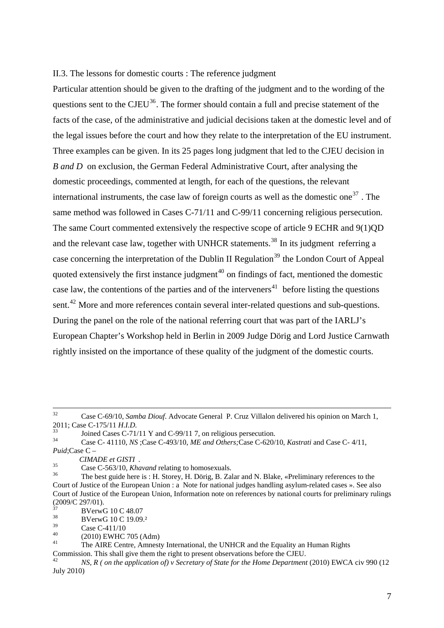#### II.3. The lessons for domestic courts : The reference judgment

Particular attention should be given to the drafting of the judgment and to the wording of the questions sent to the  $CJEU<sup>36</sup>$  $CJEU<sup>36</sup>$  $CJEU<sup>36</sup>$ . The former should contain a full and precise statement of the facts of the case, of the administrative and judicial decisions taken at the domestic level and of the legal issues before the court and how they relate to the interpretation of the EU instrument. Three examples can be given. In its 25 pages long judgment that led to the CJEU decision in *B and D* on exclusion, the German Federal Administrative Court, after analysing the domestic proceedings, commented at length, for each of the questions, the relevant international instruments, the case law of foreign courts as well as the domestic one<sup>[37](#page-6-1)</sup>. The same method was followed in Cases C-71/11 and C-99/11 concerning religious persecution. The same Court commented extensively the respective scope of article 9 ECHR and 9(1)QD and the relevant case law, together with UNHCR statements.<sup>[38](#page-6-2)</sup> In its judgment referring a case concerning the interpretation of the Dublin II Regulation<sup>[39](#page-6-3)</sup> the London Court of Appeal quoted extensively the first instance judgment<sup> $40$ </sup> on findings of fact, mentioned the domestic case law, the contentions of the parties and of the interveners<sup>[41](#page-6-5)</sup> before listing the questions sent.<sup>[42](#page-6-6)</sup> More and more references contain several inter-related questions and sub-questions. During the panel on the role of the national referring court that was part of the IARLJ's European Chapter's Workshop held in Berlin in 2009 Judge Dörig and Lord Justice Carnwath rightly insisted on the importance of these quality of the judgment of the domestic courts.

<span id="page-6-4"></span> $^{40}$  (2010) EWHC 705 (Adm)

 <sup>32</sup> Case C-69/10, *Samba Diouf*. Advocate General P. Cruz Villalon delivered his opinion on March 1, 2011; Case C-175/11 *H.I.D.*<br>33 Joined Cases C-71/11 Y and C-99/11 7, on religious persecution.<br><sup>34</sup> Case C-41110, N.C.Case C-402/10, M.E. and Other person C-620/1

<sup>34</sup> Case C- 41110, *NS* ;Case C-493/10, *ME and Others;*Case C-620/10, *Kastrati* and Case C- 4/11, *Puid*;Case C – *CIMADE et GISTI*.

<span id="page-6-0"></span>*CIMADE et GISTI .* 35 Case C-563/10, *Khavand* relating to homosexuals. 36 The best guide here is : H. Storey, H. Dörig, B. Zalar and N. Blake, «Preliminary references to the Court of Justice of the European Union : a Note for national judges handling asylum-related cases ». See also Court of Justice of the European Union, Information note on references by national courts for preliminary rulings  $(2009/C 297/01)$ .

<span id="page-6-1"></span> $37 \text{ BVerwG} 10 \text{ C} 48.07$ <br> $38 \text{ BVerwG} 10 \text{ C} 10.00$ 

<span id="page-6-2"></span> $3^8$  BVerwG 10 C 19.09.<sup>2</sup>

<span id="page-6-3"></span> $\frac{39}{40}$  Case C-411/10

<span id="page-6-5"></span>The AIRE Centre, Amnesty International, the UNHCR and the Equality an Human Rights Commission. This shall give them the right to present observations before the CJEU.

<span id="page-6-6"></span><sup>42</sup> *NS, R ( on the application of) v Secretary of State for the Home Department* (2010) EWCA civ 990 (12 July 2010)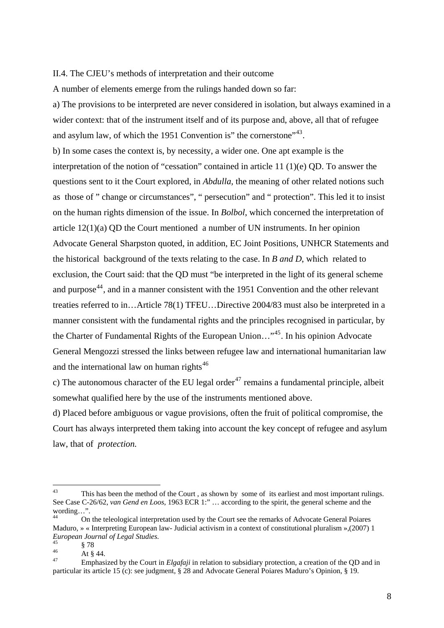II.4. The CJEU's methods of interpretation and their outcome

A number of elements emerge from the rulings handed down so far:

a) The provisions to be interpreted are never considered in isolation, but always examined in a wider context: that of the instrument itself and of its purpose and, above, all that of refugee and asylum law, of which the 1951 Convention is" the cornerstone"<sup>[43](#page-7-0)</sup>.

b) In some cases the context is, by necessity, a wider one. One apt example is the interpretation of the notion of "cessation" contained in article 11 (1)(e) QD. To answer the questions sent to it the Court explored, in *Abdulla,* the meaning of other related notions such as those of " change or circumstances", " persecution" and " protection". This led it to insist on the human rights dimension of the issue. In *Bolbol*, which concerned the interpretation of article  $12(1)(a)$  OD the Court mentioned a number of UN instruments. In her opinion Advocate General Sharpston quoted, in addition, EC Joint Positions, UNHCR Statements and the historical background of the texts relating to the case. In *B and D*, which related to exclusion, the Court said: that the QD must "be interpreted in the light of its general scheme and purpose<sup>[44](#page-7-1)</sup>, and in a manner consistent with the 1951 Convention and the other relevant treaties referred to in…Article 78(1) TFEU…Directive 2004/83 must also be interpreted in a manner consistent with the fundamental rights and the principles recognised in particular, by the Charter of Fundamental Rights of the European Union…"[45](#page-7-2). In his opinion Advocate General Mengozzi stressed the links between refugee law and international humanitarian law and the international law on human rights<sup>[46](#page-7-3)</sup>

c) The autonomous character of the EU legal order<sup>[47](#page-7-4)</sup> remains a fundamental principle, albeit somewhat qualified here by the use of the instruments mentioned above.

d) Placed before ambiguous or vague provisions, often the fruit of political compromise, the Court has always interpreted them taking into account the key concept of refugee and asylum law, that of *protection.* 

<span id="page-7-0"></span> $43$ This has been the method of the Court, as shown by some of its earliest and most important rulings. See Case C-26/62, *van Gend en Loos*, 1963 ECR 1:" … according to the spirit, the general scheme and the wording…".

<span id="page-7-1"></span><sup>44</sup> On the teleological interpretation used by the Court see the remarks of Advocate General Poiares Maduro, » « Interpreting European law- Judicial activism in a context of constitutional pluralism »,(2007) 1 *European Journal of Legal Studies.* 

<sup>45 § 78</sup> 

<span id="page-7-3"></span><span id="page-7-2"></span><sup>46</sup>  $\frac{1}{47}$  At § 44.

<span id="page-7-4"></span><sup>47</sup> Emphasized by the Court in *Elgafaji* in relation to subsidiary protection, a creation of the QD and in particular its article 15 (c): see judgment, § 28 and Advocate General Poiares Maduro's Opinion, § 19.